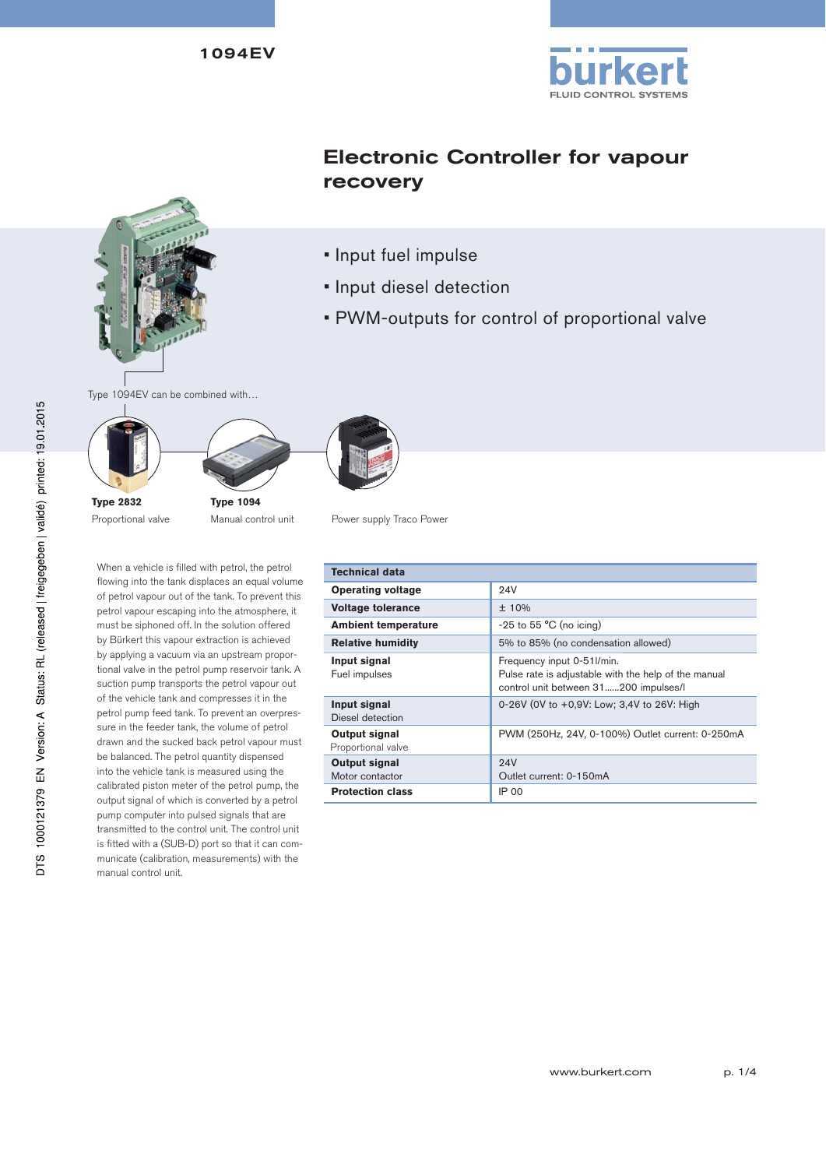

# Electronic Controller for vapour recovery



- Input diesel detection
- PWM-outputs for control of proportional valve

Type 1094EV can be combined with…





**Type 2832** Proportional valve **Type 1094**

When a vehicle is filled with petrol, the petrol flowing into the tank displaces an equal volume of petrol vapour out of the tank. To prevent this petrol vapour escaping into the atmosphere, it must be siphoned off. In the solution offered by Bürkert this vapour extraction is achieved by applying a vacuum via an upstream proportional valve in the petrol pump reservoir tank. A suction pump transports the petrol vapour out of the vehicle tank and compresses it in the petrol pump feed tank. To prevent an overpressure in the feeder tank, the volume of petrol drawn and the sucked back petrol vapour must be balanced. The petrol quantity dispensed into the vehicle tank is measured using the calibrated piston meter of the petrol pump, the output signal of which is converted by a petrol pump computer into pulsed signals that are transmitted to the control unit. The control unit is fitted with a (SUB-D) port so that it can communicate (calibration, measurements) with the manual control unit.

Manual control unit Power supply Traco Power

| Technical data                      |                                                                                                                             |
|-------------------------------------|-----------------------------------------------------------------------------------------------------------------------------|
| <b>Operating voltage</b>            | 94V                                                                                                                         |
| <b>Voltage tolerance</b>            | ± 10%                                                                                                                       |
| <b>Ambient temperature</b>          | $-25$ to 55 $^{\circ}$ C (no icing)                                                                                         |
| <b>Relative humidity</b>            | 5% to 85% (no condensation allowed)                                                                                         |
| Input signal<br>Fuel impulses       | Frequency input 0-51l/min.<br>Pulse rate is adjustable with the help of the manual<br>control unit between 31200 impulses/l |
| Input signal<br>Diesel detection    | 0-26V (0V to +0,9V: Low; 3,4V to 26V: High                                                                                  |
| Output signal<br>Proportional valve | PWM (250Hz, 24V, 0-100%) Outlet current: 0-250mA                                                                            |
| Output signal<br>Motor contactor    | 24V<br>Outlet current: 0-150mA                                                                                              |
| <b>Protection class</b>             | <b>IP 00</b>                                                                                                                |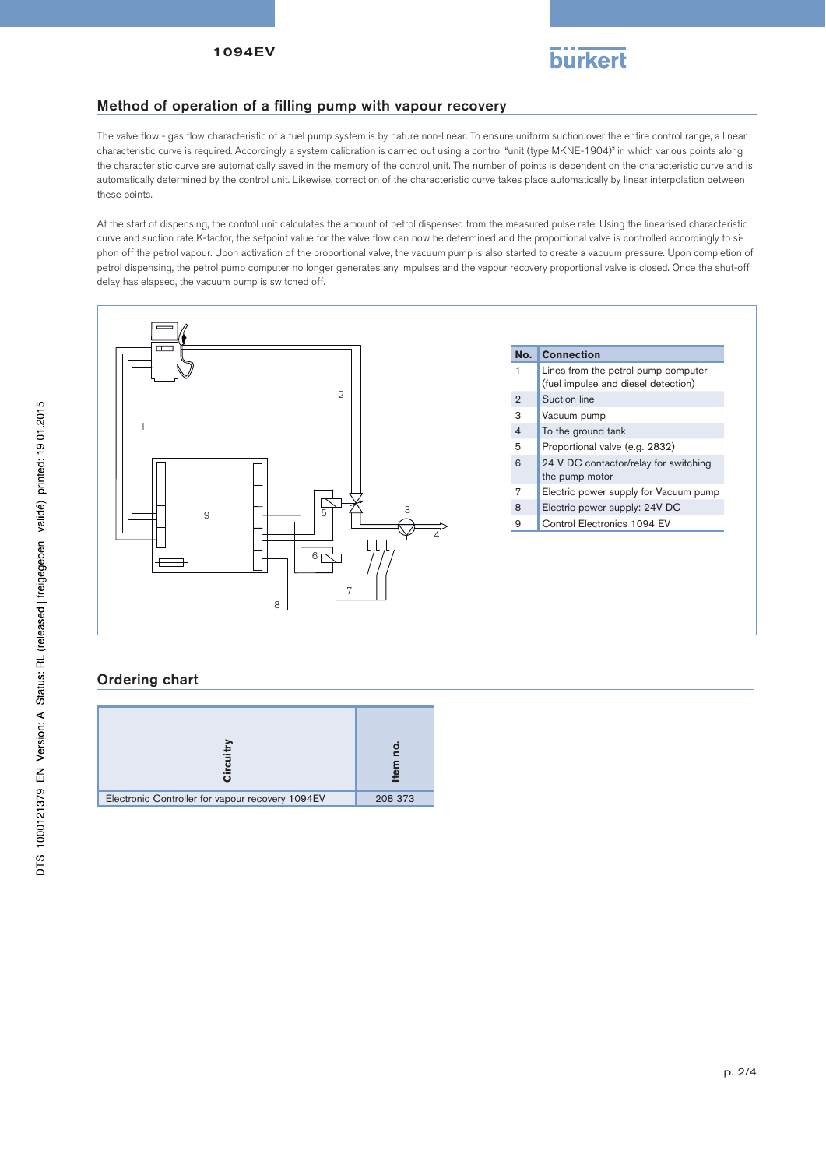

### Method of operation of a filling pump with vapour recovery

The valve flow - gas flow characteristic of a fuel pump system is by nature non-linear. To ensure uniform suction over the entire control range, a linear characteristic curve is required. Accordingly a system calibration is carried out using a control "unit (type MKNE-1904)" in which various points along the characteristic curve are automatically saved in the memory of the control unit. The number of points is dependent on the characteristic curve and is automatically determined by the control unit. Likewise, correction of the characteristic curve takes place automatically by linear interpolation between these points.

At the start of dispensing, the control unit calculates the amount of petrol dispensed from the measured pulse rate. Using the linearised characteristic curve and suction rate K-factor, the setpoint value for the valve flow can now be determined and the proportional valve is controlled accordingly to siphon off the petrol vapour. Upon activation of the proportional valve, the vacuum pump is also started to create a vacuum pressure. Upon completion of petrol dispensing, the petrol pump computer no longer generates any impulses and the vapour recovery proportional valve is closed. Once the shut-off delay has elapsed, the vacuum pump is switched off.



### Ordering chart

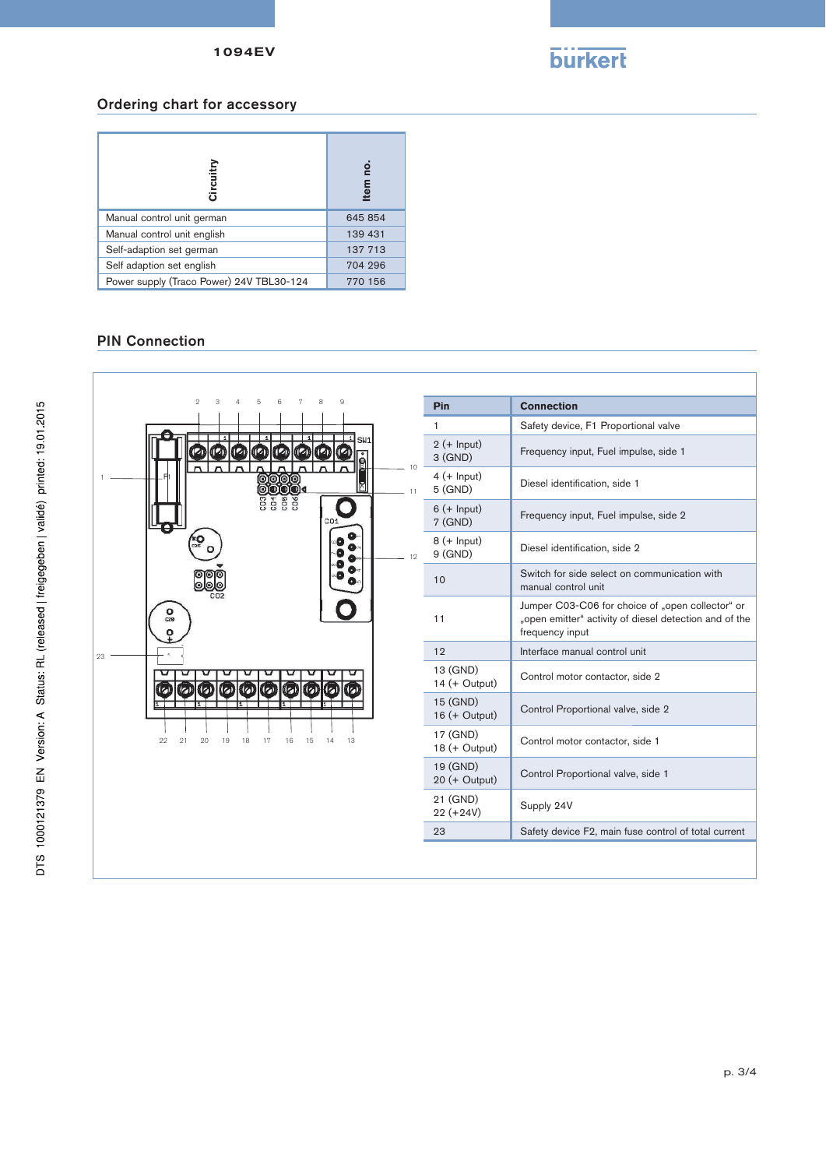

#### Ordering chart for accessory

| Circuitry                                | ġ<br>tem |
|------------------------------------------|----------|
| Manual control unit german               | 645 854  |
| Manual control unit english              | 139 431  |
| Self-adaption set german                 | 137 713  |
| Self adaption set english                | 704 296  |
| Power supply (Traco Power) 24V TBL30-124 | 770 156  |

## PIN Connection